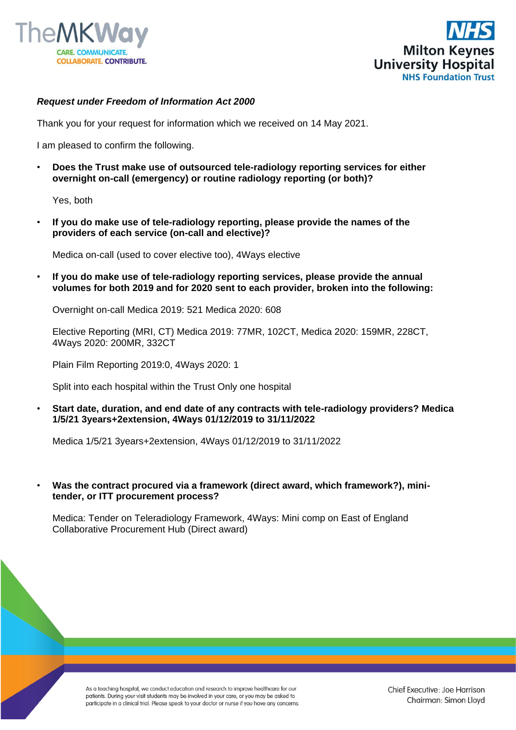



## *Request under Freedom of Information Act 2000*

Thank you for your request for information which we received on 14 May 2021.

I am pleased to confirm the following.

• **Does the Trust make use of outsourced tele-radiology reporting services for either overnight on-call (emergency) or routine radiology reporting (or both)?** 

Yes, both

• **If you do make use of tele-radiology reporting, please provide the names of the providers of each service (on-call and elective)?** 

Medica on-call (used to cover elective too), 4Ways elective

• **If you do make use of tele-radiology reporting services, please provide the annual volumes for both 2019 and for 2020 sent to each provider, broken into the following:**

Overnight on-call Medica 2019: 521 Medica 2020: 608

Elective Reporting (MRI, CT) Medica 2019: 77MR, 102CT, Medica 2020: 159MR, 228CT, 4Ways 2020: 200MR, 332CT

Plain Film Reporting 2019:0, 4Ways 2020: 1

Split into each hospital within the Trust Only one hospital

• **Start date, duration, and end date of any contracts with tele-radiology providers? Medica 1/5/21 3years+2extension, 4Ways 01/12/2019 to 31/11/2022**

Medica 1/5/21 3years+2extension, 4Ways 01/12/2019 to 31/11/2022

• **Was the contract procured via a framework (direct award, which framework?), minitender, or ITT procurement process?** 

Medica: Tender on Teleradiology Framework, 4Ways: Mini comp on East of England Collaborative Procurement Hub (Direct award)

As a teaching hospital, we conduct education and research to improve healthcare for our patients. During your visit students may be involved in your care, or you may be asked to participate in a clinical trial. Please speak to your doctor or nurse if you have any concerns.